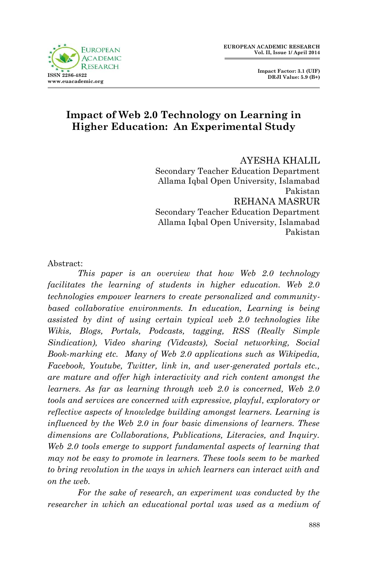

 **Impact Factor: 3.1 (UIF) DRJI Value: 5.9 (B+)**

# **Impact of Web 2.0 Technology on Learning in Higher Education: An Experimental Study**

AYESHA KHALIL Secondary Teacher Education Department Allama Iqbal Open University, Islamabad Pakistan REHANA MASRUR Secondary Teacher Education Department Allama Iqbal Open University, Islamabad Pakistan

#### Abstract:

*This paper is an overview that how Web 2.0 technology facilitates the learning of students in higher education. Web 2.0 technologies empower learners to create personalized and community*based collaborative environments. In education, Learning is being *assisted by dint of using certain typical web 2.0 technologies like Wikis, Blogs, Portals, Podcasts, tagging, RSS (Really Simple Sindication), Video sharing (Vidcasts), Social networking, Social Book-marking etc. Many of Web 2.0 applications such as Wikipedia, Facebook, Youtube, Twitter, link in, and user-generated portals etc., are mature and offer high interactivity and rich content amongst the learners. As far as learning through web 2.0 is concerned, Web 2.0 tools and services are concerned with expressive, playful, exploratory or reflective aspects of knowledge building amongst learners. Learning is influenced by the Web 2.0 in four basic dimensions of learners. These dimensions are Collaborations, Publications, Literacies, and Inquiry. Web 2.0 tools emerge to support fundamental aspects of learning that may not be easy to promote in learners. These tools seem to be marked to bring revolution in the ways in which learners can interact with and on the web.* 

*For the sake of research, an experiment was conducted by the* researcher in which an educational portal was used as a medium of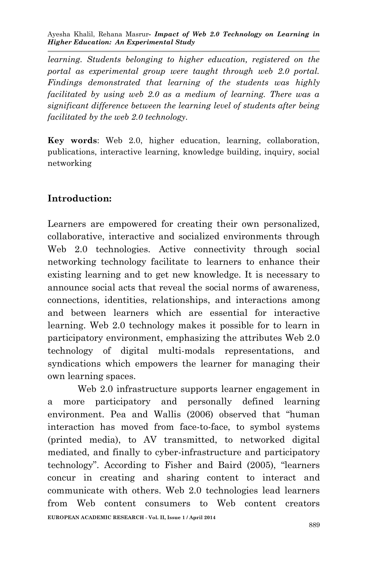Ayesha Khalil, Rehana Masrur*- Impact of Web 2.0 Technology on Learning in Higher Education: An Experimental Study*

*learning. Students belonging to higher education, registered on the portal as experimental group were taught through web 2.0 portal. Findings demonstrated that learning of the students was highly facilitated by using web 2.0 as a medium of learning. There was a significant difference between the learning level of students after being facilitated by the web 2.0 technology.*

**Key words**: Web 2.0, higher education, learning, collaboration, publications, interactive learning, knowledge building, inquiry, social networking

#### **Introduction:**

Learners are empowered for creating their own personalized, collaborative, interactive and socialized environments through Web 2.0 technologies. Active connectivity through social networking technology facilitate to learners to enhance their existing learning and to get new knowledge. It is necessary to announce social acts that reveal the social norms of awareness, connections, identities, relationships, and interactions among and between learners which are essential for interactive learning. Web 2.0 technology makes it possible for to learn in participatory environment, emphasizing the attributes Web 2.0 technology of digital multi-modals representations, and syndications which empowers the learner for managing their own learning spaces.

Web 2.0 infrastructure supports learner engagement in a more participatory and personally defined learning environment. Pea and Wallis (2006) observed that "human interaction has moved from face-to-face, to symbol systems (printed media), to AV transmitted, to networked digital mediated, and finally to cyber-infrastructure and participatory technology". According to Fisher and Baird (2005), "learners concur in creating and sharing content to interact and communicate with others. Web 2.0 technologies lead learners from Web content consumers to Web content creators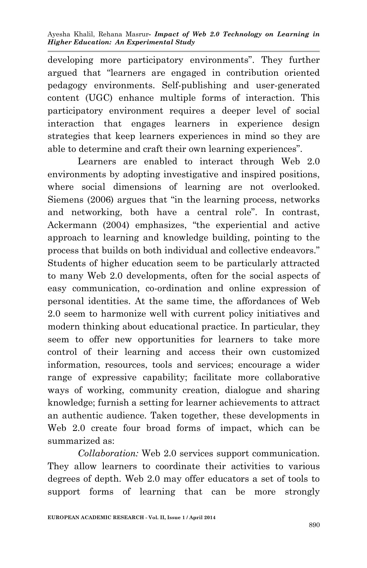developing more participatory environments". They further argued that "learners are engaged in contribution oriented pedagogy environments. Self-publishing and user-generated content (UGC) enhance multiple forms of interaction. This participatory environment requires a deeper level of social interaction that engages learners in experience design strategies that keep learners experiences in mind so they are able to determine and craft their own learning experiences".

Learners are enabled to interact through Web 2.0 environments by adopting investigative and inspired positions, where social dimensions of learning are not overlooked. Siemens (2006) argues that "in the learning process, networks and networking, both have a central role". In contrast, Ackermann (2004) emphasizes, "the experiential and active approach to learning and knowledge building, pointing to the process that builds on both individual and collective endeavors." Students of higher education seem to be particularly attracted to many Web 2.0 developments, often for the social aspects of easy communication, co-ordination and online expression of personal identities. At the same time, the affordances of Web 2.0 seem to harmonize well with current policy initiatives and modern thinking about educational practice. In particular, they seem to offer new opportunities for learners to take more control of their learning and access their own customized information, resources, tools and services; encourage a wider range of expressive capability; facilitate more collaborative ways of working, community creation, dialogue and sharing knowledge; furnish a setting for learner achievements to attract an authentic audience. Taken together, these developments in Web 2.0 create four broad forms of impact, which can be summarized as:

*Collaboration:* Web 2.0 services support communication. They allow learners to coordinate their activities to various degrees of depth. Web 2.0 may offer educators a set of tools to support forms of learning that can be more strongly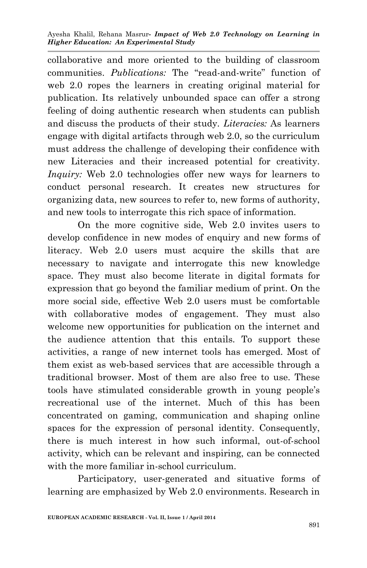collaborative and more oriented to the building of classroom communities. *Publications:* The "read-and-write" function of web 2.0 ropes the learners in creating original material for publication. Its relatively unbounded space can offer a strong feeling of doing authentic research when students can publish and discuss the products of their study. *Literacies:* As learners engage with digital artifacts through web 2.0, so the curriculum must address the challenge of developing their confidence with new Literacies and their increased potential for creativity. *Inquiry:* Web 2.0 technologies offer new ways for learners to conduct personal research. It creates new structures for organizing data, new sources to refer to, new forms of authority, and new tools to interrogate this rich space of information.

On the more cognitive side, Web 2.0 invites users to develop confidence in new modes of enquiry and new forms of literacy. Web 2.0 users must acquire the skills that are necessary to navigate and interrogate this new knowledge space. They must also become literate in digital formats for expression that go beyond the familiar medium of print. On the more social side, effective Web 2.0 users must be comfortable with collaborative modes of engagement. They must also welcome new opportunities for publication on the internet and the audience attention that this entails. To support these activities, a range of new internet tools has emerged. Most of them exist as web-based services that are accessible through a traditional browser. Most of them are also free to use. These tools have stimulated considerable growth in young people's recreational use of the internet. Much of this has been concentrated on gaming, communication and shaping online spaces for the expression of personal identity. Consequently, there is much interest in how such informal, out-of-school activity, which can be relevant and inspiring, can be connected with the more familiar in-school curriculum.

Participatory, user-generated and situative forms of learning are emphasized by Web 2.0 environments. Research in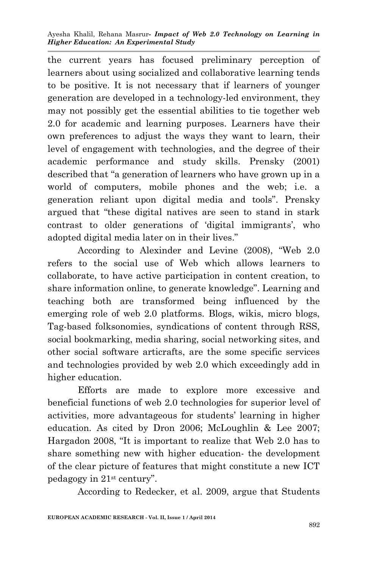the current years has focused preliminary perception of learners about using socialized and collaborative learning tends to be positive. It is not necessary that if learners of younger generation are developed in a technology-led environment, they may not possibly get the essential abilities to tie together web 2.0 for academic and learning purposes. Learners have their own preferences to adjust the ways they want to learn, their level of engagement with technologies, and the degree of their academic performance and study skills. Prensky (2001) described that "a generation of learners who have grown up in a world of computers, mobile phones and the web; i.e. a generation reliant upon digital media and tools". Prensky argued that "these digital natives are seen to stand in stark contrast to older generations of 'digital immigrants', who adopted digital media later on in their lives."

According to Alexinder and Levine (2008), "Web 2.0 refers to the social use of Web which allows learners to collaborate, to have active participation in content creation, to share information online, to generate knowledge". Learning and teaching both are transformed being influenced by the emerging role of web 2.0 platforms. Blogs, wikis, micro blogs, Tag-based folksonomies, syndications of content through RSS, social bookmarking, media sharing, social networking sites, and other social software articrafts, are the some specific services and technologies provided by web 2.0 which exceedingly add in higher education.

Efforts are made to explore more excessive and beneficial functions of web 2.0 technologies for superior level of activities, more advantageous for students' learning in higher education. As cited by Dron 2006; McLoughlin & Lee 2007; Hargadon 2008, "It is important to realize that Web 2.0 has to share something new with higher education- the development of the clear picture of features that might constitute a new ICT pedagogy in 21st century".

According to Redecker, et al. 2009, argue that Students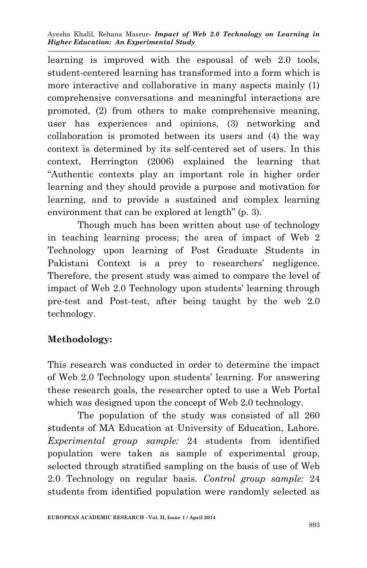learning is improved with the espousal of web 2.0 tools, student-centered learning has transformed into a form which is more interactive and collaborative in many aspects mainly (1) comprehensive conversations and meaningful interactions are promoted, (2) from others to make comprehensive meaning, user has experiences and opinions, (3) networking and collaboration is promoted between its users and (4) the way context is determined by its self-centered set of users. In this context, Herrington (2006) explained the learning that "Authentic contexts play an important role in higher order learning and they should provide a purpose and motivation for learning, and to provide a sustained and complex learning environment that can be explored at length" (p. 3).

Though much has been written about use of technology in teaching learning process; the area of impact of Web 2 Technology upon learning of Post Graduate Students in Pakistani Context is a prey to researchers' negligence. Therefore, the present study was aimed to compare the level of impact of Web 2.0 Technology upon students' learning through pre-test and Post-test, after being taught by the web 2.0 technology.

# **Methodology:**

This research was conducted in order to determine the impact of Web 2.0 Technology upon students' learning. For answering these research goals, the researcher opted to use a Web Portal which was designed upon the concept of Web 2.0 technology.

The population of the study was consisted of all 260 students of MA Education at University of Education, Lahore. *Experimental group sample:* 24 students from identified population were taken as sample of experimental group, selected through stratified sampling on the basis of use of Web 2.0 Technology on regular basis. *Control group sample:* 24 students from identified population were randomly selected as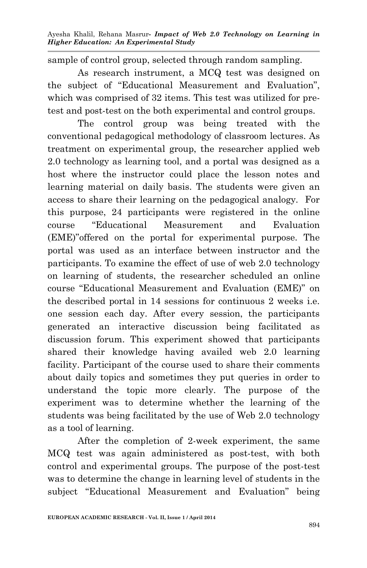sample of control group, selected through random sampling.

As research instrument, a MCQ test was designed on the subject of "Educational Measurement and Evaluation", which was comprised of 32 items. This test was utilized for pretest and post-test on the both experimental and control groups.

The control group was being treated with the conventional pedagogical methodology of classroom lectures. As treatment on experimental group, the researcher applied web 2.0 technology as learning tool, and a portal was designed as a host where the instructor could place the lesson notes and learning material on daily basis. The students were given an access to share their learning on the pedagogical analogy. For this purpose, 24 participants were registered in the online course "Educational Measurement and Evaluation (EME)"offered on the portal for experimental purpose. The portal was used as an interface between instructor and the participants. To examine the effect of use of web 2.0 technology on learning of students, the researcher scheduled an online course "Educational Measurement and Evaluation (EME)" on the described portal in 14 sessions for continuous 2 weeks i.e. one session each day. After every session, the participants generated an interactive discussion being facilitated as discussion forum. This experiment showed that participants shared their knowledge having availed web 2.0 learning facility. Participant of the course used to share their comments about daily topics and sometimes they put queries in order to understand the topic more clearly. The purpose of the experiment was to determine whether the learning of the students was being facilitated by the use of Web 2.0 technology as a tool of learning.

After the completion of 2-week experiment, the same MCQ test was again administered as post-test, with both control and experimental groups. The purpose of the post-test was to determine the change in learning level of students in the subject "Educational Measurement and Evaluation" being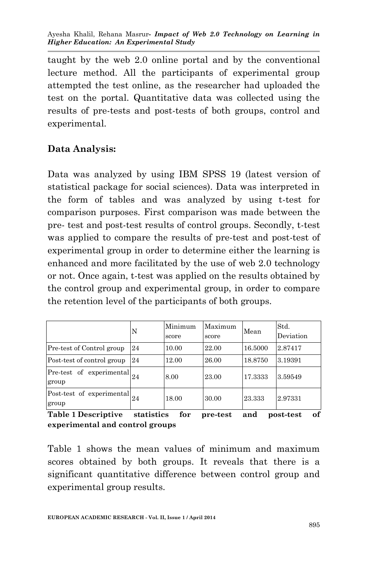Ayesha Khalil, Rehana Masrur*- Impact of Web 2.0 Technology on Learning in Higher Education: An Experimental Study*

taught by the web 2.0 online portal and by the conventional lecture method. All the participants of experimental group attempted the test online, as the researcher had uploaded the test on the portal. Quantitative data was collected using the results of pre-tests and post-tests of both groups, control and experimental.

#### **Data Analysis:**

Data was analyzed by using IBM SPSS 19 (latest version of statistical package for social sciences). Data was interpreted in the form of tables and was analyzed by using t-test for comparison purposes. First comparison was made between the pre- test and post-test results of control groups. Secondly, t-test was applied to compare the results of pre-test and post-test of experimental group in order to determine either the learning is enhanced and more facilitated by the use of web 2.0 technology or not. Once again, t-test was applied on the results obtained by the control group and experimental group, in order to compare the retention level of the participants of both groups.

|                                                                 | N          | Minimum<br>score | Maximum<br>score | Mean    | Std.<br>Deviation |
|-----------------------------------------------------------------|------------|------------------|------------------|---------|-------------------|
| Pre-test of Control group                                       | 24         | 10.00            | 22.00            | 16.5000 | 2.87417           |
| Post-test of control group                                      | 24         | 12.00            | 26.00            | 18.8750 | 3.19391           |
| $\boxed{\text{Pre-test}}$ of experimental $\boxed{24}$<br>group |            | 8.00             | 23.00            | 17.3333 | 3.59549           |
| Post-test of experimental $_{24}$<br>group                      |            | 18.00            | 30.00            | 23.333  | 2.97331           |
| <b>Table 1 Descriptive</b>                                      | statistics | for              | pre-test         | and     | of<br>post-test   |

**experimental and control groups**

Table 1 shows the mean values of minimum and maximum scores obtained by both groups. It reveals that there is a significant quantitative difference between control group and experimental group results.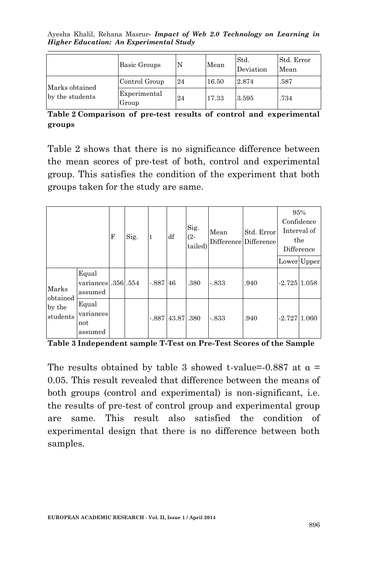Ayesha Khalil, Rehana Masrur*- Impact of Web 2.0 Technology on Learning in Higher Education: An Experimental Study*

|                                   | Basic Groups          | IN | Mean  | Std.<br>Deviation | Std. Error<br>Mean |
|-----------------------------------|-----------------------|----|-------|-------------------|--------------------|
|                                   | Control Group         | 24 | 16.50 | 2.874             | .587               |
| Marks obtained<br>by the students | Experimental<br>Group | 24 | 17.33 | 3.595             | .734               |

**Table 2 Comparison of pre-test results of control and experimental groups**

Table 2 shows that there is no significance difference between the mean scores of pre-test of both, control and experimental group. This satisfies the condition of the experiment that both groups taken for the study are same.

|                                         |                                       | F | Sig. | lt        | df        | Sig.<br>$(2 -$<br>tailed) | Mean    | Std. Error<br>Difference Difference |                | 95%<br>Confidence<br>Interval of<br>the<br>Difference |
|-----------------------------------------|---------------------------------------|---|------|-----------|-----------|---------------------------|---------|-------------------------------------|----------------|-------------------------------------------------------|
|                                         |                                       |   |      |           |           |                           |         |                                     |                | Lower Upper                                           |
| Marks<br>obtained<br>by the<br>students | Equal<br>variances 356.554<br>assumed |   |      | $-887$ 46 |           | .380                      | $-833$  | .940                                | $-2.72511.058$ |                                                       |
|                                         | Equal<br>variances<br>not<br>assumed  |   |      | $-.887$   | 43.87,380 |                           | $-.833$ | .940                                | $-2.72711.060$ |                                                       |

**Table 3 Independent sample T-Test on Pre-Test Scores of the Sample**

The results obtained by table 3 showed t-value=-0.887 at  $\alpha$  = 0.05. This result revealed that difference between the means of both groups (control and experimental) is non-significant, i.e. the results of pre-test of control group and experimental group are same. This result also satisfied the condition of experimental design that there is no difference between both samples.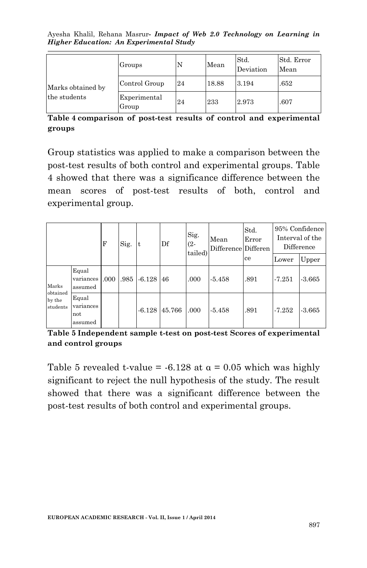Ayesha Khalil, Rehana Masrur*- Impact of Web 2.0 Technology on Learning in Higher Education: An Experimental Study*

|                   | Groups                | N  | Mean  | Std.<br>Deviation | Std. Error<br>Mean |
|-------------------|-----------------------|----|-------|-------------------|--------------------|
| Marks obtained by | Control Group         | 24 | 18.88 | 3.194             | .652               |
| the students      | Experimental<br>Group | 24 | 233   | 2.973             | .607               |

**Table 4 comparison of post-test results of control and experimental groups**

Group statistics was applied to make a comparison between the post-test results of both control and experimental groups. Table 4 showed that there was a significance difference between the mean scores of post-test results of both, control and experimental group.

|                                         |                                      | F    | Sig.<br>t |          | Df     | Sig.<br>(2-<br>tailed) | Mean<br>Difference Differen | Std.<br>Error | 95% Confidence<br>Interval of the<br>Difference |          |
|-----------------------------------------|--------------------------------------|------|-----------|----------|--------|------------------------|-----------------------------|---------------|-------------------------------------------------|----------|
|                                         |                                      |      |           |          |        |                        |                             | ce            | Lower                                           | Upper    |
| Marks<br>obtained<br>by the<br>students | Equal<br>variances<br>assumed        | .000 | .985      | $-6.128$ | 46     | .000                   | $-5.458$                    | .891          | $-7.251$                                        | $-3.665$ |
|                                         | Equal<br>variances<br>not<br>assumed |      |           | $-6.128$ | 45.766 | .000                   | $-5.458$                    | .891          | $-7.252$                                        | -3.665   |

**Table 5 Independent sample t-test on post-test Scores of experimental and control groups**

Table 5 revealed t-value =  $-6.128$  at  $\alpha = 0.05$  which was highly significant to reject the null hypothesis of the study. The result showed that there was a significant difference between the post-test results of both control and experimental groups.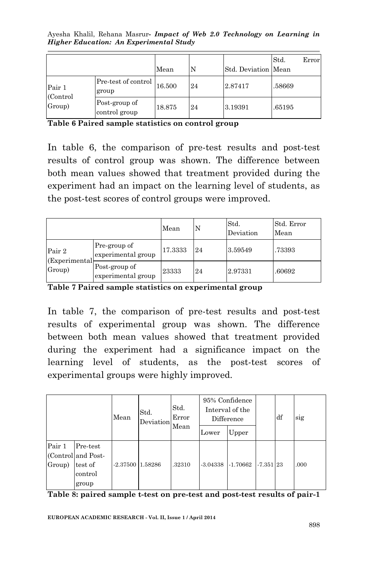Ayesha Khalil, Rehana Masrur*- Impact of Web 2.0 Technology on Learning in Higher Education: An Experimental Study*

|                               |                                | Mean   | IN | Std. Deviation Mean | Std.   | Error |
|-------------------------------|--------------------------------|--------|----|---------------------|--------|-------|
| Pair 1<br>(Control)<br>Group) | Pre-test of control<br>group   | 16.500 | 24 | 2.87417             | .58669 |       |
|                               | Post-group of<br>control group | 18.875 | 24 | 3.19391             | .65195 |       |

**Table 6 Paired sample statistics on control group**

In table 6, the comparison of pre-test results and post-test results of control group was shown. The difference between both mean values showed that treatment provided during the experiment had an impact on the learning level of students, as the post-test scores of control groups were improved.

|                                   |                                     | Mean    |    | Std.<br>Deviation | Std. Error<br>Mean |
|-----------------------------------|-------------------------------------|---------|----|-------------------|--------------------|
| Pair 2<br>(Experimental<br>Group) | Pre-group of<br>experimental group  | 17.3333 | 24 | 3.59549           | .73393             |
|                                   | Post-group of<br>experimental group | 23333   | 24 | 2.97331           | .60692             |

**Table 7 Paired sample statistics on experimental group**

In table 7, the comparison of pre-test results and post-test results of experimental group was shown. The difference between both mean values showed that treatment provided during the experiment had a significance impact on the learning level of students, as the post-test scores of experimental groups were highly improved.

|                  |                                                               | Mean       | Std.<br>Deviation <sup>[1]</sup> | Std.<br>Error<br>Mean |            | 95% Confidence<br>Interval of the<br>Difference |             | df | sig  |
|------------------|---------------------------------------------------------------|------------|----------------------------------|-----------------------|------------|-------------------------------------------------|-------------|----|------|
|                  |                                                               |            |                                  |                       | Lower      | Upper                                           |             |    |      |
| Pair 1<br>Group) | Pre-test<br>(Control and Post-<br>test of<br>control<br>group | $-2.37500$ | 1.58286                          | .32310                | $-3.04338$ | $-1.70662$                                      | $-7.351$ 23 |    | .000 |

**Table 8: paired sample t-test on pre-test and post-test results of pair-1**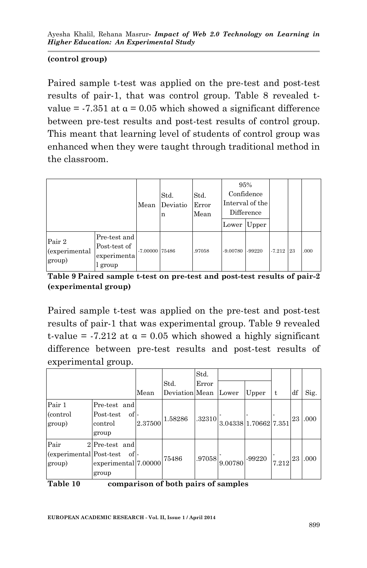#### **(control group)**

Paired sample t-test was applied on the pre-test and post-test results of pair-1, that was control group. Table 8 revealed tvalue =  $-7.351$  at  $\alpha = 0.05$  which showed a significant difference between pre-test results and post-test results of control group. This meant that learning level of students of control group was enhanced when they were taught through traditional method in the classroom.

|                                   |                                                        | Mean           | Std.<br>Deviatio<br>n | Std.<br>Error<br>Mean | 95%<br>Lower | Confidence<br>Interval of the<br>Difference<br>Upper |          |    |      |
|-----------------------------------|--------------------------------------------------------|----------------|-----------------------|-----------------------|--------------|------------------------------------------------------|----------|----|------|
| Pair 2<br>(experimental<br>group) | Pre-test and<br>Post-test of<br>experimenta<br>l group | -7.00000 75486 |                       | .97058                | $-9.00780$   | -99220                                               | $-7.212$ | 23 | .000 |

**Table 9 Paired sample t-test on pre-test and post-test results of pair-2 (experimental group)**

Paired sample t-test was applied on the pre-test and post-test results of pair-1 that was experimental group. Table 9 revealed t-value =  $-7.212$  at  $\alpha = 0.05$  which showed a highly significant difference between pre-test results and post-test results of experimental group.

|                         |                                     |         |                | Std.   |                       |        |       |    |      |  |
|-------------------------|-------------------------------------|---------|----------------|--------|-----------------------|--------|-------|----|------|--|
|                         |                                     |         | Std.           | Error  |                       |        |       |    |      |  |
|                         |                                     | Mean    | Deviation Mean |        | Lower                 | Upper  | t     | df | Sig. |  |
| Pair 1                  | Pre-test and                        |         |                |        |                       |        |       |    |      |  |
| (control)               | Post-test<br>of -                   |         | 1.58286        | .32310 |                       |        |       | 23 | .000 |  |
| group)                  | control                             | 2.37500 |                |        | 3.04338 1.70662 7.351 |        |       |    |      |  |
|                         | group                               |         |                |        |                       |        |       |    |      |  |
| Pair                    | 2Pre-test and                       |         |                |        |                       |        |       |    |      |  |
| (experimental Post-test | of -                                |         | 75486          | .97058 |                       | -99220 |       | 23 | .000 |  |
| group)                  | experimental 7.00000                |         |                |        | 9.00780               |        | 7.212 |    |      |  |
|                         | group                               |         |                |        |                       |        |       |    |      |  |
| Table 10                | comparison of both pairs of samples |         |                |        |                       |        |       |    |      |  |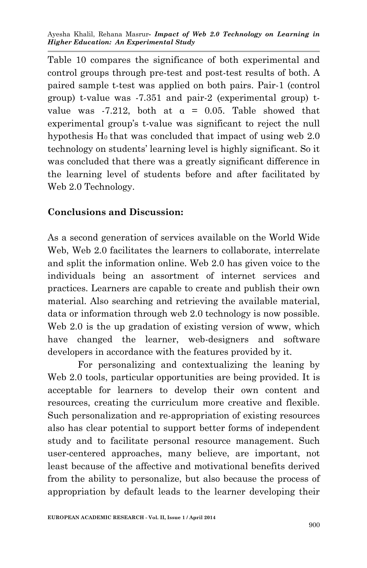Table 10 compares the significance of both experimental and control groups through pre-test and post-test results of both. A paired sample t-test was applied on both pairs. Pair-1 (control group) t-value was -7.351 and pair-2 (experimental group) tvalue was  $-7.212$ , both at  $\alpha = 0.05$ . Table showed that experimental group's t-value was significant to reject the null hypothesis  $H_0$  that was concluded that impact of using web 2.0 technology on students' learning level is highly significant. So it was concluded that there was a greatly significant difference in the learning level of students before and after facilitated by Web 2.0 Technology.

### **Conclusions and Discussion:**

As a second generation of services available on the World Wide Web, Web 2.0 facilitates the learners to collaborate, interrelate and split the information online. Web 2.0 has given voice to the individuals being an assortment of internet services and practices. Learners are capable to create and publish their own material. Also searching and retrieving the available material, data or information through web 2.0 technology is now possible. Web 2.0 is the up gradation of existing version of www, which have changed the learner, web-designers and software developers in accordance with the features provided by it.

For personalizing and contextualizing the leaning by Web 2.0 tools, particular opportunities are being provided. It is acceptable for learners to develop their own content and resources, creating the curriculum more creative and flexible. Such personalization and re-appropriation of existing resources also has clear potential to support better forms of independent study and to facilitate personal resource management. Such user-centered approaches, many believe, are important, not least because of the affective and motivational benefits derived from the ability to personalize, but also because the process of appropriation by default leads to the learner developing their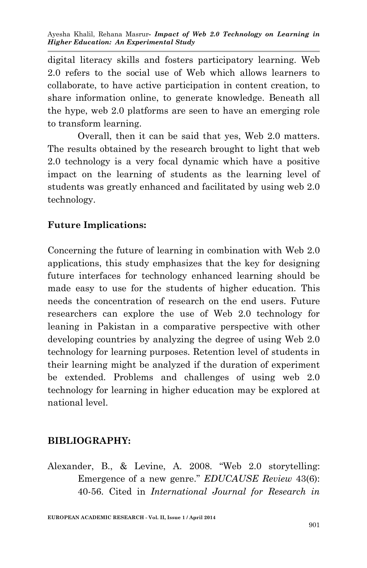digital literacy skills and fosters participatory learning. Web 2.0 refers to the social use of Web which allows learners to collaborate, to have active participation in content creation, to share information online, to generate knowledge. Beneath all the hype, web 2.0 platforms are seen to have an emerging role to transform learning.

Overall, then it can be said that yes, Web 2.0 matters. The results obtained by the research brought to light that web 2.0 technology is a very focal dynamic which have a positive impact on the learning of students as the learning level of students was greatly enhanced and facilitated by using web 2.0 technology.

## **Future Implications:**

Concerning the future of learning in combination with Web 2.0 applications, this study emphasizes that the key for designing future interfaces for technology enhanced learning should be made easy to use for the students of higher education. This needs the concentration of research on the end users. Future researchers can explore the use of Web 2.0 technology for leaning in Pakistan in a comparative perspective with other developing countries by analyzing the degree of using Web 2.0 technology for learning purposes. Retention level of students in their learning might be analyzed if the duration of experiment be extended. Problems and challenges of using web 2.0 technology for learning in higher education may be explored at national level.

### **BIBLIOGRAPHY:**

Alexander, B., & Levine, A. 2008. "Web 2.0 storytelling: Emergence of a new genre." *EDUCAUSE Review* 43(6): 40-56. Cited in *International Journal for Research in* 

**EUROPEAN ACADEMIC RESEARCH - Vol. II, Issue 1 / April 2014**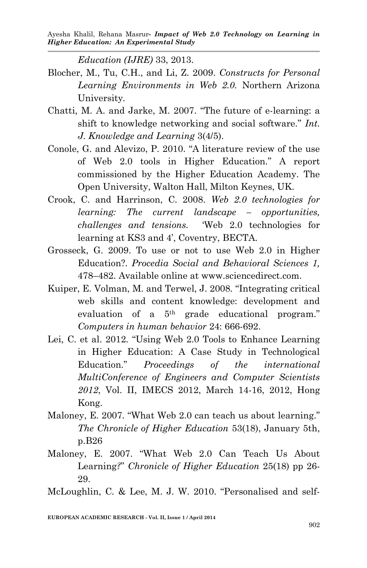*Education (IJRE)* 33, 2013.

- Blocher, M., Tu, C.H., and Li, Z. 2009. *Constructs for Personal Learning Environments in Web 2.0.* Northern Arizona University*.*
- Chatti, M. A. and Jarke, M. 2007. "The future of e-learning: a shift to knowledge networking and social software." *Int. J. Knowledge and Learning* 3(4/5).
- Conole, G. and Alevizo, P. 2010. "A literature review of the use of Web 2.0 tools in Higher Education." A report commissioned by the Higher Education Academy. The Open University, Walton Hall, Milton Keynes, UK.
- Crook, C. and Harrinson, C. 2008. *Web 2.0 technologies for learning: The current landscape – opportunities, challenges and tensions.* 'Web 2.0 technologies for learning at KS3 and 4', Coventry, BECTA.
- Grosseck, G. 2009. To use or not to use Web 2.0 in Higher Education?. *Procedia Social and Behavioral Sciences 1,* 478–482. Available online at www.sciencedirect.com.
- Kuiper, E. Volman, M. and Terwel, J. 2008. "Integrating critical web skills and content knowledge: development and evaluation of a 5th grade educational program." *Computers in human behavior* 24: 666-692.
- Lei, C. et al. 2012*.* "Using Web 2.0 Tools to Enhance Learning in Higher Education: A Case Study in Technological Education." *Proceedings of the international MultiConference of Engineers and Computer Scientists 2012*, Vol. II, IMECS 2012, March 14-16, 2012, Hong Kong.
- Maloney, E. 2007. "What Web 2.0 can teach us about learning." *The Chronicle of Higher Education* 53(18), January 5th, p.B26
- Maloney, E. 2007. "What Web 2.0 Can Teach Us About Learning*?*" *Chronicle of Higher Education* 25(18) pp 26- 29.

McLoughlin, C. & Lee, M. J. W. 2010. "Personalised and self-